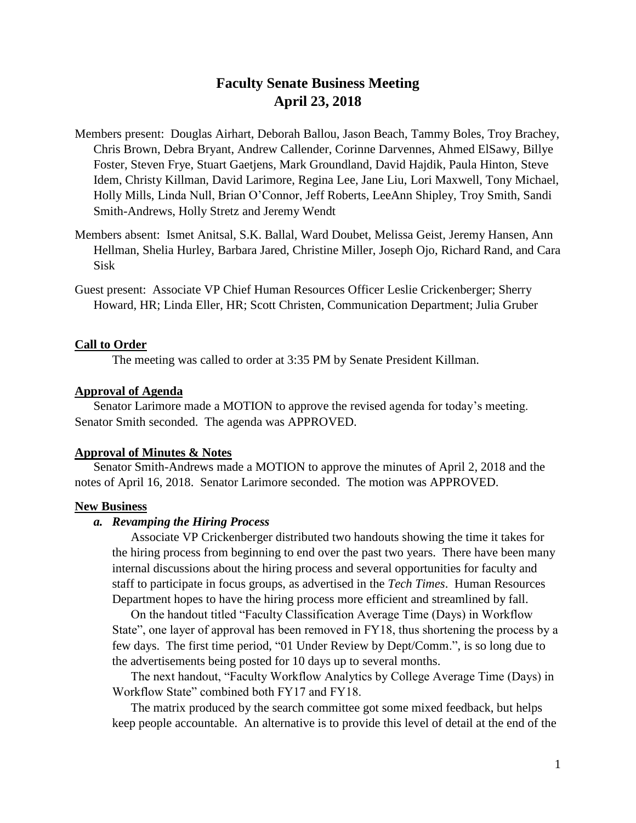# **Faculty Senate Business Meeting April 23, 2018**

- Members present: Douglas Airhart, Deborah Ballou, Jason Beach, Tammy Boles, Troy Brachey, Chris Brown, Debra Bryant, Andrew Callender, Corinne Darvennes, Ahmed ElSawy, Billye Foster, Steven Frye, Stuart Gaetjens, Mark Groundland, David Hajdik, Paula Hinton, Steve Idem, Christy Killman, David Larimore, Regina Lee, Jane Liu, Lori Maxwell, Tony Michael, Holly Mills, Linda Null, Brian O'Connor, Jeff Roberts, LeeAnn Shipley, Troy Smith, Sandi Smith-Andrews, Holly Stretz and Jeremy Wendt
- Members absent: Ismet Anitsal, S.K. Ballal, Ward Doubet, Melissa Geist, Jeremy Hansen, Ann Hellman, Shelia Hurley, Barbara Jared, Christine Miller, Joseph Ojo, Richard Rand, and Cara Sisk
- Guest present: Associate VP Chief Human Resources Officer Leslie Crickenberger; Sherry Howard, HR; Linda Eller, HR; Scott Christen, Communication Department; Julia Gruber

## **Call to Order**

The meeting was called to order at 3:35 PM by Senate President Killman.

### **Approval of Agenda**

Senator Larimore made a MOTION to approve the revised agenda for today's meeting. Senator Smith seconded. The agenda was APPROVED.

#### **Approval of Minutes & Notes**

Senator Smith-Andrews made a MOTION to approve the minutes of April 2, 2018 and the notes of April 16, 2018. Senator Larimore seconded. The motion was APPROVED.

#### **New Business**

## *a. Revamping the Hiring Process*

Associate VP Crickenberger distributed two handouts showing the time it takes for the hiring process from beginning to end over the past two years. There have been many internal discussions about the hiring process and several opportunities for faculty and staff to participate in focus groups, as advertised in the *Tech Times*. Human Resources Department hopes to have the hiring process more efficient and streamlined by fall.

On the handout titled "Faculty Classification Average Time (Days) in Workflow State", one layer of approval has been removed in FY18, thus shortening the process by a few days. The first time period, "01 Under Review by Dept/Comm.", is so long due to the advertisements being posted for 10 days up to several months.

The next handout, "Faculty Workflow Analytics by College Average Time (Days) in Workflow State" combined both FY17 and FY18.

The matrix produced by the search committee got some mixed feedback, but helps keep people accountable. An alternative is to provide this level of detail at the end of the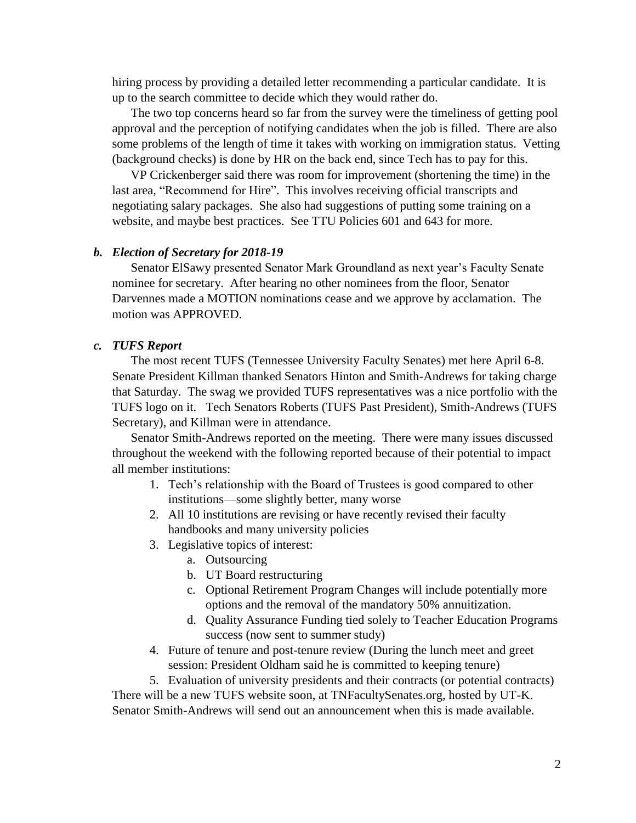hiring process by providing a detailed letter recommending a particular candidate. It is up to the search committee to decide which they would rather do.

The two top concerns heard so far from the survey were the timeliness of getting pool approval and the perception of notifying candidates when the job is filled. There are also some problems of the length of time it takes with working on immigration status. Vetting (background checks) is done by HR on the back end, since Tech has to pay for this.

VP Crickenberger said there was room for improvement (shortening the time) in the last area, "Recommend for Hire". This involves receiving official transcripts and negotiating salary packages. She also had suggestions of putting some training on a website, and maybe best practices. See TTU Policies 601 and 643 for more.

#### *b. Election of Secretary for 2018-19*

Senator ElSawy presented Senator Mark Groundland as next year's Faculty Senate nominee for secretary. After hearing no other nominees from the floor, Senator Darvennes made a MOTION nominations cease and we approve by acclamation. The motion was APPROVED.

## *c. TUFS Report*

The most recent TUFS (Tennessee University Faculty Senates) met here April 6-8. Senate President Killman thanked Senators Hinton and Smith-Andrews for taking charge that Saturday. The swag we provided TUFS representatives was a nice portfolio with the TUFS logo on it. Tech Senators Roberts (TUFS Past President), Smith-Andrews (TUFS Secretary), and Killman were in attendance.

Senator Smith-Andrews reported on the meeting. There were many issues discussed throughout the weekend with the following reported because of their potential to impact all member institutions:

- 1. Tech's relationship with the Board of Trustees is good compared to other institutions—some slightly better, many worse
- 2. All 10 institutions are revising or have recently revised their faculty handbooks and many university policies
- 3. Legislative topics of interest:
	- a. Outsourcing
	- b. UT Board restructuring
	- c. Optional Retirement Program Changes will include potentially more options and the removal of the mandatory 50% annuitization.
	- d. Quality Assurance Funding tied solely to Teacher Education Programs success (now sent to summer study)
- 4. Future of tenure and post-tenure review (During the lunch meet and greet session: President Oldham said he is committed to keeping tenure)

5. Evaluation of university presidents and their contracts (or potential contracts) There will be a new TUFS website soon, at TNFacultySenates.org, hosted by UT-K. Senator Smith-Andrews will send out an announcement when this is made available.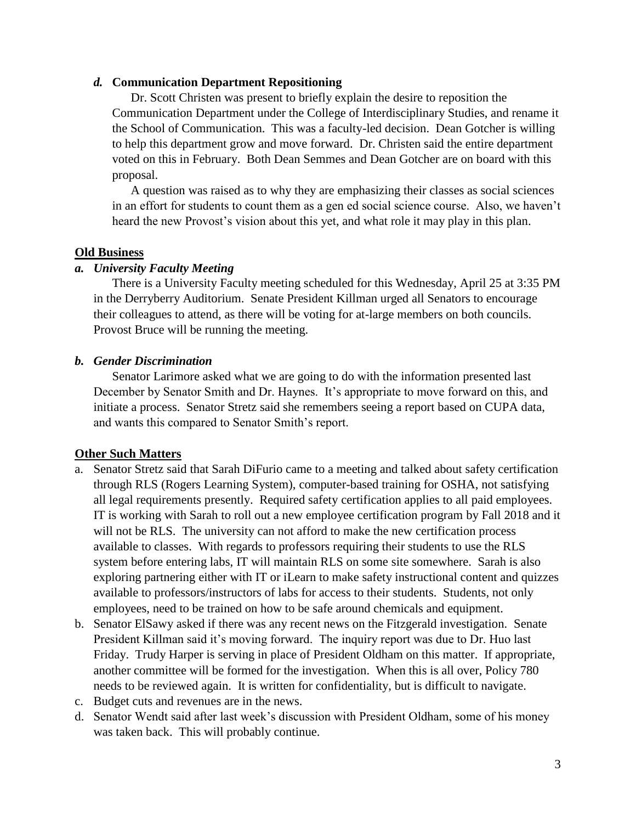## *d.* **Communication Department Repositioning**

Dr. Scott Christen was present to briefly explain the desire to reposition the Communication Department under the College of Interdisciplinary Studies, and rename it the School of Communication. This was a faculty-led decision. Dean Gotcher is willing to help this department grow and move forward. Dr. Christen said the entire department voted on this in February. Both Dean Semmes and Dean Gotcher are on board with this proposal.

A question was raised as to why they are emphasizing their classes as social sciences in an effort for students to count them as a gen ed social science course. Also, we haven't heard the new Provost's vision about this yet, and what role it may play in this plan.

# **Old Business**

# *a. University Faculty Meeting*

There is a University Faculty meeting scheduled for this Wednesday, April 25 at 3:35 PM in the Derryberry Auditorium. Senate President Killman urged all Senators to encourage their colleagues to attend, as there will be voting for at-large members on both councils. Provost Bruce will be running the meeting.

# *b. Gender Discrimination*

Senator Larimore asked what we are going to do with the information presented last December by Senator Smith and Dr. Haynes. It's appropriate to move forward on this, and initiate a process. Senator Stretz said she remembers seeing a report based on CUPA data, and wants this compared to Senator Smith's report.

# **Other Such Matters**

- a. Senator Stretz said that Sarah DiFurio came to a meeting and talked about safety certification through RLS (Rogers Learning System), computer-based training for OSHA, not satisfying all legal requirements presently. Required safety certification applies to all paid employees. IT is working with Sarah to roll out a new employee certification program by Fall 2018 and it will not be RLS. The university can not afford to make the new certification process available to classes. With regards to professors requiring their students to use the RLS system before entering labs, IT will maintain RLS on some site somewhere. Sarah is also exploring partnering either with IT or iLearn to make safety instructional content and quizzes available to professors/instructors of labs for access to their students. Students, not only employees, need to be trained on how to be safe around chemicals and equipment.
- b. Senator ElSawy asked if there was any recent news on the Fitzgerald investigation. Senate President Killman said it's moving forward. The inquiry report was due to Dr. Huo last Friday. Trudy Harper is serving in place of President Oldham on this matter. If appropriate, another committee will be formed for the investigation. When this is all over, Policy 780 needs to be reviewed again. It is written for confidentiality, but is difficult to navigate.
- c. Budget cuts and revenues are in the news.
- d. Senator Wendt said after last week's discussion with President Oldham, some of his money was taken back. This will probably continue.